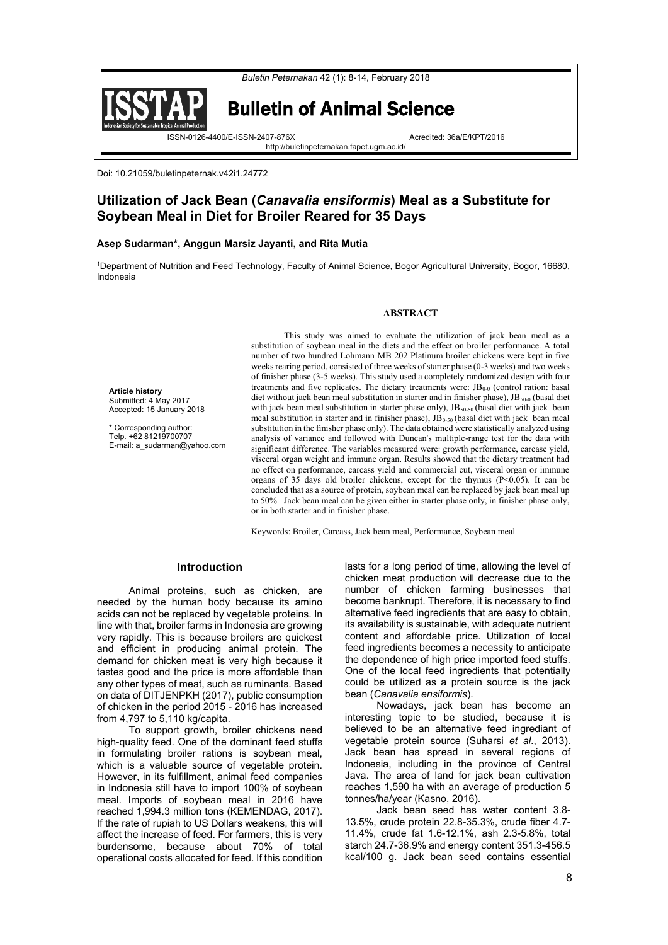



# Bulletin of Animal Science

ISSN-0126-4400/E-ISSN-2407-876X Acredited: 36a/E/KPT/2016 http://buletinpeternakan.fapet.ugm.ac.id/

Doi: 10.21059/buletinpeternak.v42i1.24772

# **Utilization of Jack Bean (***Canavalia ensiformis***) Meal as a Substitute for Soybean Meal in Diet for Broiler Reared for 35 Days**

# **Asep Sudarman\*, Anggun Marsiz Jayanti, and Rita Mutia**

1 Department of Nutrition and Feed Technology, Faculty of Animal Science, Bogor Agricultural University, Bogor, 16680, Indonesia

# **ABSTRACT**

**Article history** Submitted: 4 May 2017 Accepted: 15 January 2018

\* Corresponding author: Telp. +62 81219700707 E-mail: a\_sudarman@yahoo.com

This study was aimed to evaluate the utilization of jack bean meal as a substitution of soybean meal in the diets and the effect on broiler performance. A total number of two hundred Lohmann MB 202 Platinum broiler chickens were kept in five weeks rearing period, consisted of three weeks of starter phase (0-3 weeks) and two weeks of finisher phase (3-5 weeks). This study used a completely randomized design with four treatments and five replicates. The dietary treatments were:  $JB<sub>0-0</sub>$  (control ration: basal diet without jack bean meal substitution in starter and in finisher phase),  $JB<sub>50-0</sub>$  (basal diet with jack bean meal substitution in starter phase only), JB<sub>50-50</sub> (basal diet with jack bean meal substitution in starter and in finisher phase), JB<sub>0-50</sub> (basal diet with jack bean meal substitution in the finisher phase only). The data obtained were statistically analyzed using analysis of variance and followed with Duncan's multiple-range test for the data with significant difference. The variables measured were: growth performance, carcase yield, visceral organ weight and immune organ. Results showed that the dietary treatment had no effect on performance, carcass yield and commercial cut, visceral organ or immune organs of 35 days old broiler chickens, except for the thymus (P<0.05). It can be concluded that as a source of protein, soybean meal can be replaced by jack bean meal up to 50%. Jack bean meal can be given either in starter phase only, in finisher phase only, or in both starter and in finisher phase.

Keywords: Broiler, Carcass, Jack bean meal, Performance, Soybean meal

#### **Introduction**

Animal proteins, such as chicken, are needed by the human body because its amino acids can not be replaced by vegetable proteins. In line with that, broiler farms in Indonesia are growing very rapidly. This is because broilers are quickest and efficient in producing animal protein. The demand for chicken meat is very high because it tastes good and the price is more affordable than any other types of meat, such as ruminants. Based on data of DITJENPKH (2017), public consumption of chicken in the period 2015 - 2016 has increased from 4,797 to 5,110 kg/capita.

To support growth, broiler chickens need high-quality feed. One of the dominant feed stuffs in formulating broiler rations is soybean meal, which is a valuable source of vegetable protein. However, in its fulfillment, animal feed companies in Indonesia still have to import 100% of soybean meal. Imports of soybean meal in 2016 have reached 1,994.3 million tons (KEMENDAG, 2017). If the rate of rupiah to US Dollars weakens, this will affect the increase of feed. For farmers, this is very burdensome, because about 70% of total operational costs allocated for feed. If this condition

lasts for a long period of time, allowing the level of chicken meat production will decrease due to the number of chicken farming businesses that become bankrupt. Therefore, it is necessary to find alternative feed ingredients that are easy to obtain, its availability is sustainable, with adequate nutrient content and affordable price. Utilization of local feed ingredients becomes a necessity to anticipate the dependence of high price imported feed stuffs. One of the local feed ingredients that potentially could be utilized as a protein source is the jack bean (*Canavalia ensiformis*).

Nowadays, jack bean has become an interesting topic to be studied, because it is believed to be an alternative feed ingrediant of vegetable protein source (Suharsi *et al*., 2013). Jack bean has spread in several regions of Indonesia, including in the province of Central Java. The area of land for jack bean cultivation reaches 1,590 ha with an average of production 5 tonnes/ha/year (Kasno, 2016).

Jack bean seed has water content 3.8- 13.5%, crude protein 22.8-35.3%, crude fiber 4.7- 11.4%, crude fat 1.6-12.1%, ash 2.3-5.8%, total starch 24.7-36.9% and energy content 351.3-456.5 kcal/100 g. Jack bean seed contains essential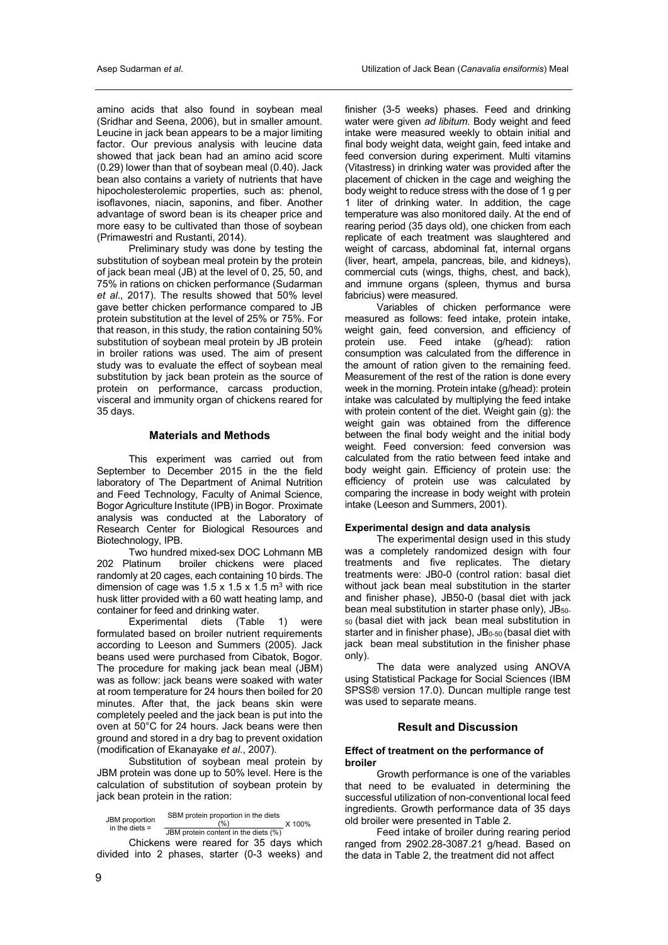amino acids that also found in soybean meal (Sridhar and Seena, 2006), but in smaller amount. Leucine in jack bean appears to be a major limiting factor. Our previous analysis with leucine data showed that jack bean had an amino acid score (0.29) lower than that of soybean meal (0.40). Jack bean also contains a variety of nutrients that have hipocholesterolemic properties, such as: phenol, isoflavones, niacin, saponins, and fiber. Another advantage of sword bean is its cheaper price and more easy to be cultivated than those of soybean (Primawestri and Rustanti, 2014).

Preliminary study was done by testing the substitution of soybean meal protein by the protein of jack bean meal (JB) at the level of 0, 25, 50, and 75% in rations on chicken performance (Sudarman *et al*., 2017). The results showed that 50% level gave better chicken performance compared to JB protein substitution at the level of 25% or 75%. For that reason, in this study, the ration containing 50% substitution of soybean meal protein by JB protein in broiler rations was used. The aim of present study was to evaluate the effect of soybean meal substitution by jack bean protein as the source of protein on performance, carcass production, visceral and immunity organ of chickens reared for 35 days.

# **Materials and Methods**

This experiment was carried out from September to December 2015 in the the field laboratory of The Department of Animal Nutrition and Feed Technology, Faculty of Animal Science, Bogor Agriculture Institute (IPB) in Bogor. Proximate analysis was conducted at the Laboratory of Research Center for Biological Resources and Biotechnology, IPB.

Two hundred mixed-sex DOC Lohmann MB 202 Platinum broiler chickens were placed randomly at 20 cages, each containing 10 birds. The dimension of cage was  $1.5 \times 1.5 \times 1.5$  m<sup>3</sup> with rice husk litter provided with a 60 watt heating lamp, and container for feed and drinking water.

Experimental diets (Table 1) were formulated based on broiler nutrient requirements according to Leeson and Summers (2005). Jack beans used were purchased from Cibatok, Bogor. The procedure for making jack bean meal (JBM) was as follow: jack beans were soaked with water at room temperature for 24 hours then boiled for 20 minutes. After that, the jack beans skin were completely peeled and the jack bean is put into the oven at 50°C for 24 hours. Jack beans were then ground and stored in a dry bag to prevent oxidation (modification of Ekanayake *et al*., 2007).

Substitution of soybean meal protein by JBM protein was done up to 50% level. Here is the calculation of substitution of soybean protein by jack bean protein in the ration:

JBM proportion in the diets = SBM protein proportion in the diets  $(\%)$  X 100%  $\frac{(70)}{JBM}$  protein content in the diets (%)

Chickens were reared for 35 days which divided into 2 phases, starter (0-3 weeks) and

finisher (3-5 weeks) phases. Feed and drinking water were given *ad libitum*. Body weight and feed intake were measured weekly to obtain initial and final body weight data, weight gain, feed intake and feed conversion during experiment. Multi vitamins (Vitastress) in drinking water was provided after the placement of chicken in the cage and weighing the body weight to reduce stress with the dose of 1 g per 1 liter of drinking water. In addition, the cage temperature was also monitored daily. At the end of rearing period (35 days old), one chicken from each replicate of each treatment was slaughtered and weight of carcass, abdominal fat, internal organs (liver, heart, ampela, pancreas, bile, and kidneys), commercial cuts (wings, thighs, chest, and back), and immune organs (spleen, thymus and bursa fabricius) were measured.

Variables of chicken performance were measured as follows: feed intake, protein intake, weight gain, feed conversion, and efficiency of protein use. Feed intake (g/head): ration consumption was calculated from the difference in the amount of ration given to the remaining feed. Measurement of the rest of the ration is done every week in the morning. Protein intake (g/head): protein intake was calculated by multiplying the feed intake with protein content of the diet. Weight gain (g): the weight gain was obtained from the difference between the final body weight and the initial body weight. Feed conversion: feed conversion was calculated from the ratio between feed intake and body weight gain. Efficiency of protein use: the efficiency of protein use was calculated by comparing the increase in body weight with protein intake (Leeson and Summers, 2001).

### **Experimental design and data analysis**

The experimental design used in this study was a completely randomized design with four treatments and five replicates. The dietary treatments were: JB0-0 (control ration: basal diet without jack bean meal substitution in the starter and finisher phase), JB50-0 (basal diet with jack bean meal substitution in starter phase only),  $JB<sub>50</sub>$ <sup>50</sup> (basal diet with jack bean meal substitution in starter and in finisher phase),  $JB<sub>0-50</sub>$  (basal diet with jack bean meal substitution in the finisher phase only).

The data were analyzed using ANOVA using Statistical Package for Social Sciences (IBM SPSS® version 17.0). Duncan multiple range test was used to separate means.

#### **Result and Discussion**

#### **Effect of treatment on the performance of broiler**

Growth performance is one of the variables that need to be evaluated in determining the successful utilization of non-conventional local feed ingredients. Growth performance data of 35 days old broiler were presented in Table 2.

Feed intake of broiler during rearing period ranged from 2902.28-3087.21 g/head. Based on the data in Table 2, the treatment did not affect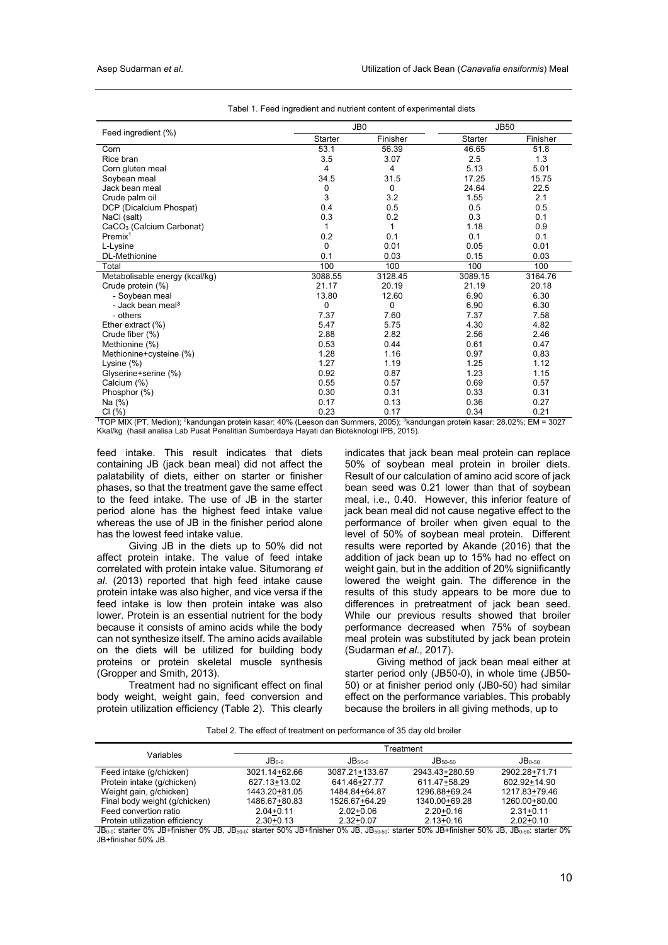|                                      |                | JB0      | <b>JB50</b>    |          |
|--------------------------------------|----------------|----------|----------------|----------|
| Feed ingredient (%)                  | <b>Starter</b> | Finisher | <b>Starter</b> | Finisher |
| Corn                                 | 53.1           | 56.39    | 46.65          | 51.8     |
| Rice bran                            | 3.5            | 3.07     | 2.5            | 1.3      |
| Corn gluten meal                     | $\overline{4}$ | 4        | 5.13           | 5.01     |
| Soybean meal                         | 34.5           | 31.5     | 17.25          | 15.75    |
| Jack bean meal                       | 0              | 0        | 24.64          | 22.5     |
| Crude palm oil                       | 3              | 3.2      | 1.55           | 2.1      |
| DCP (Dicalcium Phospat)              | 0.4            | 0.5      | 0.5            | 0.5      |
| NaCl (salt)                          | 0.3            | 0.2      | 0.3            | 0.1      |
| CaCO <sub>3</sub> (Calcium Carbonat) | 1              | 1        | 1.18           | 0.9      |
| Premix <sup>1</sup>                  | 0.2            | 0.1      | 0.1            | 0.1      |
| L-Lysine                             | $\mathbf 0$    | 0.01     | 0.05           | 0.01     |
| DL-Methionine                        | 0.1            | 0.03     | 0.15           | 0.03     |
| Total                                | 100            | 100      | 100            | 100      |
| Metabolisable energy (kcal/kg)       | 3088.55        | 3128.45  | 3089.15        | 3164.76  |
| Crude protein (%)                    | 21.17          | 20.19    | 21.19          | 20.18    |
| - Soybean meal                       | 13.80          | 12.60    | 6.90           | 6.30     |
| - Jack bean meal <sup>3</sup>        | 0              | 0        | 6.90           | 6.30     |
| - others                             | 7.37           | 7.60     | 7.37           | 7.58     |
| Ether extract $(\%)$                 | 5.47           | 5.75     | 4.30           | 4.82     |
| Crude fiber (%)                      | 2.88           | 2.82     | 2.56           | 2.46     |
| Methionine (%)                       | 0.53           | 0.44     | 0.61           | 0.47     |
| Methionine+cysteine (%)              | 1.28           | 1.16     | 0.97           | 0.83     |
| Lysine $(\%)$                        | 1.27           | 1.19     | 1.25           | 1.12     |
| Glyserine+serine (%)                 | 0.92           | 0.87     | 1.23           | 1.15     |
| Calcium (%)                          | 0.55           | 0.57     | 0.69           | 0.57     |
| Phosphor (%)                         | 0.30           | 0.31     | 0.33           | 0.31     |
| Na (%)                               | 0.17           | 0.13     | 0.36           | 0.27     |
| CI (%)                               | 0.23           | 0.17     | 0.34           | 0.21     |

Tabel 1. Feed ingredient and nutrient content of experimental diets

1 TOP MIX (PT. Medion); 2 kandungan protein kasar: 40% (Leeson dan Summers, 2005); 3 kandungan protein kasar: 28.02%; EM = 3027 Kkal/kg (hasil analisa Lab Pusat Penelitian Sumberdaya Hayati dan Bioteknologi IPB, 2015).

feed intake. This result indicates that diets containing JB (jack bean meal) did not affect the palatability of diets, either on starter or finisher phases, so that the treatment gave the same effect to the feed intake. The use of JB in the starter period alone has the highest feed intake value whereas the use of JB in the finisher period alone has the lowest feed intake value.

Giving JB in the diets up to 50% did not affect protein intake. The value of feed intake correlated with protein intake value. Situmorang *et al*. (2013) reported that high feed intake cause protein intake was also higher, and vice versa if the feed intake is low then protein intake was also lower. Protein is an essential nutrient for the body because it consists of amino acids while the body can not synthesize itself. The amino acids available on the diets will be utilized for building body proteins or protein skeletal muscle synthesis (Gropper and Smith, 2013).

Treatment had no significant effect on final body weight, weight gain, feed conversion and protein utilization efficiency (Table 2). This clearly

indicates that jack bean meal protein can replace 50% of soybean meal protein in broiler diets. Result of our calculation of amino acid score of jack bean seed was 0.21 lower than that of soybean meal, i.e., 0.40. However, this inferior feature of jack bean meal did not cause negative effect to the performance of broiler when given equal to the level of 50% of soybean meal protein. Different results were reported by Akande (2016) that the addition of jack bean up to 15% had no effect on weight gain, but in the addition of 20% signiificantly lowered the weight gain. The difference in the results of this study appears to be more due to differences in pretreatment of jack bean seed. While our previous results showed that broiler performance decreased when 75% of soybean meal protein was substituted by jack bean protein (Sudarman *et al*., 2017).

Giving method of jack bean meal either at starter period only (JB50-0), in whole time (JB50- 50) or at finisher period only (JB0-50) had similar effect on the performance variables. This probably because the broilers in all giving methods, up to

Tabel 2. The effect of treatment on performance of 35 day old broiler

|                                | Treatment     |                |                |               |
|--------------------------------|---------------|----------------|----------------|---------------|
| Variables                      | $JB0-0$       | $JB50-0$       | $JB50-50$      | $JB0-50$      |
| Feed intake (g/chicken)        | 3021.14+62.66 | 3087.21+133.67 | 2943.43+280.59 | 2902.28+71.71 |
| Protein intake (g/chicken)     | 627.13+13.02  | 641.46+27.77   | 611.47+58.29   | 602.92+14.90  |
| Weight gain, g/chicken)        | 1443.20+81.05 | 1484.84+64.87  | 1296.88+69.24  | 1217.83+79.46 |
| Final body weight (g/chicken)  | 1486.67+80.83 | 1526.67+64.29  | 1340.00+69.28  | 1260.00+80.00 |
| Feed convertion ratio          | $2.04 + 0.11$ | $2.02 + 0.06$  | $2.20 + 0.16$  | $2.31 + 0.11$ |
| Protein utilization efficiency | $2.30 + 0.13$ | $2.32 + 0.07$  | $2.13 + 0.16$  | $2.02 + 0.10$ |

JB0-0: starter 0% JB+finisher 0% JB, JB50-0: starter 50% JB+finisher 0% JB, JB50-50: starter 50% JB+finisher 50% JB, JB0-50: starter 0% JB+finisher 50% JB.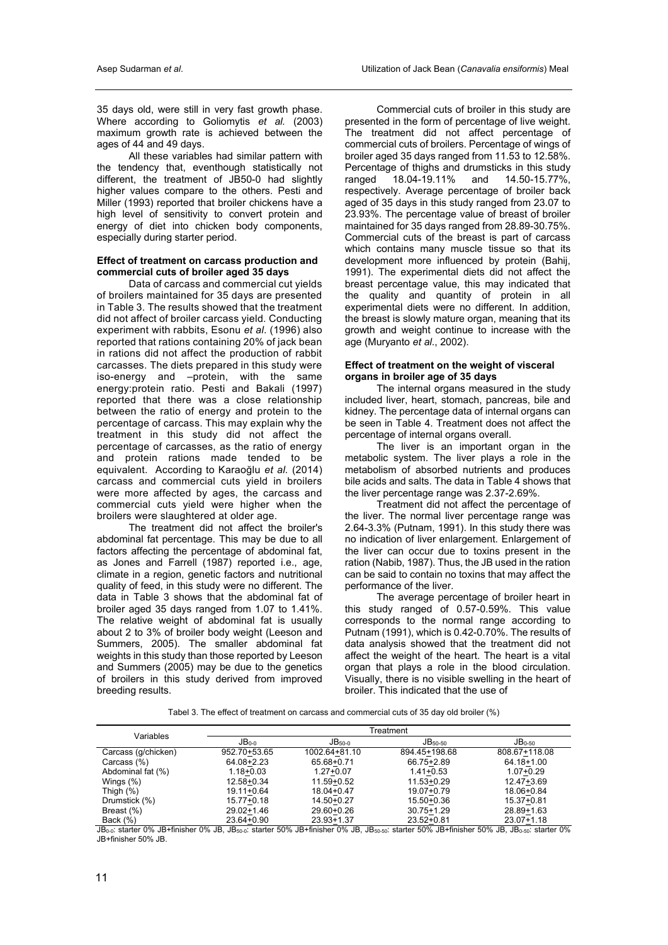35 days old, were still in very fast growth phase. Where according to Goliomytis *et al.* (2003) maximum growth rate is achieved between the ages of 44 and 49 days.

All these variables had similar pattern with the tendency that, eventhough statistically not different, the treatment of JB50-0 had slightly higher values compare to the others. Pesti and Miller (1993) reported that broiler chickens have a high level of sensitivity to convert protein and energy of diet into chicken body components, especially during starter period.

## **Effect of treatment on carcass production and commercial cuts of broiler aged 35 days**

Data of carcass and commercial cut yields of broilers maintained for 35 days are presented in Table 3. The results showed that the treatment did not affect of broiler carcass yield. Conducting experiment with rabbits, Esonu *et al*. (1996) also reported that rations containing 20% of jack bean in rations did not affect the production of rabbit carcasses. The diets prepared in this study were iso-energy and –protein, with the same energy:protein ratio. Pesti and Bakali (1997) reported that there was a close relationship between the ratio of energy and protein to the percentage of carcass. This may explain why the treatment in this study did not affect the percentage of carcasses, as the ratio of energy and protein rations made tended to be equivalent. According to Karaoğlu *et al.* (2014) carcass and commercial cuts yield in broilers were more affected by ages, the carcass and commercial cuts yield were higher when the broilers were slaughtered at older age.

The treatment did not affect the broiler's abdominal fat percentage. This may be due to all factors affecting the percentage of abdominal fat, as Jones and Farrell (1987) reported i.e., age, climate in a region, genetic factors and nutritional quality of feed, in this study were no different. The data in Table 3 shows that the abdominal fat of broiler aged 35 days ranged from 1.07 to 1.41%. The relative weight of abdominal fat is usually about 2 to 3% of broiler body weight (Leeson and Summers, 2005). The smaller abdominal fat weights in this study than those reported by Leeson and Summers (2005) may be due to the genetics of broilers in this study derived from improved breeding results.

Commercial cuts of broiler in this study are presented in the form of percentage of live weight. The treatment did not affect percentage of commercial cuts of broilers. Percentage of wings of broiler aged 35 days ranged from 11.53 to 12.58%. Percentage of thighs and drumsticks in this study ranged 18.04-19.11% and 14.50-15.77%, respectively. Average percentage of broiler back aged of 35 days in this study ranged from 23.07 to 23.93%. The percentage value of breast of broiler maintained for 35 days ranged from 28.89-30.75%. Commercial cuts of the breast is part of carcass which contains many muscle tissue so that its development more influenced by protein (Bahij, 1991). The experimental diets did not affect the breast percentage value, this may indicated that the quality and quantity of protein in all experimental diets were no different. In addition, the breast is slowly mature organ, meaning that its growth and weight continue to increase with the age (Muryanto *et al*., 2002).

### **Effect of treatment on the weight of visceral organs in broiler age of 35 days**

The internal organs measured in the study included liver, heart, stomach, pancreas, bile and kidney. The percentage data of internal organs can be seen in Table 4. Treatment does not affect the percentage of internal organs overall.

The liver is an important organ in the metabolic system. The liver plays a role in the metabolism of absorbed nutrients and produces bile acids and salts. The data in Table 4 shows that the liver percentage range was 2.37-2.69%.

Treatment did not affect the percentage of the liver. The normal liver percentage range was 2.64-3.3% (Putnam, 1991). In this study there was no indication of liver enlargement. Enlargement of the liver can occur due to toxins present in the ration (Nabib, 1987). Thus, the JB used in the ration can be said to contain no toxins that may affect the performance of the liver.

The average percentage of broiler heart in this study ranged of 0.57-0.59%. This value corresponds to the normal range according to Putnam (1991), which is 0.42-0.70%. The results of data analysis showed that the treatment did not affect the weight of the heart. The heart is a vital organ that plays a role in the blood circulation. Visually, there is no visible swelling in the heart of broiler. This indicated that the use of

Tabel 3. The effect of treatment on carcass and commercial cuts of 35 day old broiler (%)

| Variables           | Treatment      |               |                |               |  |
|---------------------|----------------|---------------|----------------|---------------|--|
|                     | $JB0-0$        | $JB50-0$      | $JB50-50$      | $JB0-50$      |  |
| Carcass (g/chicken) | 952.70+53.65   | 1002.64+81.10 | 894.45+198.68  | 808.67+118.08 |  |
| Carcass (%)         | 64.08+2.23     | 65.68+0.71    | 66.75+2.89     | 64.18+1.00    |  |
| Abdominal fat (%)   | $1.18 + 0.03$  | $1.27 + 0.07$ | $1.41 + 0.53$  | $1.07 + 0.29$ |  |
| Wings $(\%)$        | 12.58+0.34     | 11.59+0.52    | 11.53+0.29     | 12.47+3.69    |  |
| Thigh $(\%)$        | 19.11+0.64     | 18.04+0.47    | 19.07+0.79     | 18.06+0.84    |  |
| Drumstick (%)       | $15.77 + 0.18$ | 14.50+0.27    | 15.50+0.36     | 15.37+0.81    |  |
| Breast (%)          | 29.02+1.46     | 29.60+0.26    | $30.75 + 1.29$ | 28.89+1.63    |  |
| Back (%)            | 23.64+0.90     | 23.93+1.37    | $23.52 + 0.81$ | 23.07+1.18    |  |

JB0-0: starter 0% JB+finisher 0% JB, JB50-0: starter 50% JB+finisher 0% JB, JB50-50: starter 50% JB+finisher 50% JB, JB0-50: starter 0% JB+finisher 50% JB.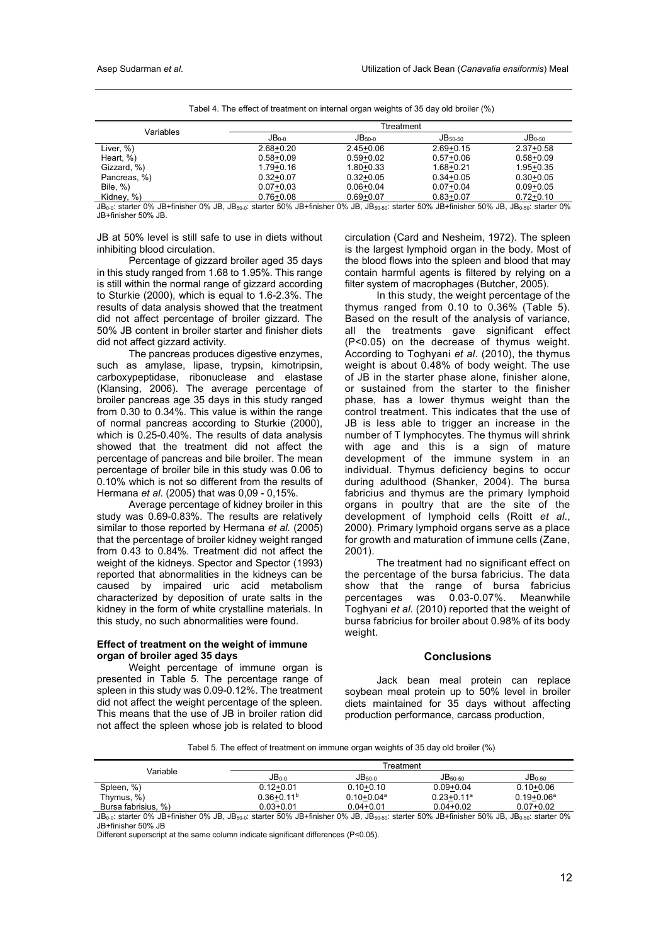| Variables    |               | Ttreatment    |               |               |
|--------------|---------------|---------------|---------------|---------------|
|              | $JB_{0-0}$    | $JB50-0$      | $JB50-50$     | $JB0-50$      |
| Liver, %)    | $2.68 + 0.20$ | $2.45 + 0.06$ | $2.69 + 0.15$ | $2.37 + 0.58$ |
| Heart, %)    | $0.58 + 0.09$ | $0.59 + 0.02$ | $0.57 + 0.06$ | $0.58 + 0.09$ |
| Gizzard, %)  | $1.79 + 0.16$ | $1.80 + 0.33$ | $1.68 + 0.21$ | $1.95 + 0.35$ |
| Pancreas, %) | $0.32 + 0.07$ | $0.32 + 0.05$ | $0.34 + 0.05$ | $0.30 + 0.05$ |
| Bile, %)     | $0.07 + 0.03$ | $0.06 + 0.04$ | $0.07 + 0.04$ | $0.09 + 0.05$ |
| Kidney, %)   | $0.76 + 0.08$ | $0.69 + 0.07$ | $0.83 + 0.07$ | $0.72 + 0.10$ |

Tabel 4. The effect of treatment on internal organ weights of 35 day old broiler (%)

JB<sub>0-0</sub>: starter 0% JB+finisher 0% JB, JB<sub>50-0</sub>: starter 50% JB+finisher 0% JB, JB<sub>50-50</sub>: starter 50% JB+finisher 50% JB, JB<sub>0-50</sub>: starter 0% JB+finisher 50% JB.

JB at 50% level is still safe to use in diets without inhibiting blood circulation.

Percentage of gizzard broiler aged 35 days in this study ranged from 1.68 to 1.95%. This range is still within the normal range of gizzard according to Sturkie (2000), which is equal to 1.6-2.3%. The results of data analysis showed that the treatment did not affect percentage of broiler gizzard. The 50% JB content in broiler starter and finisher diets did not affect gizzard activity.

The pancreas produces digestive enzymes. such as amylase, lipase, trypsin, kimotripsin, carboxypeptidase, ribonuclease and elastase (Klansing, 2006). The average percentage of broiler pancreas age 35 days in this study ranged from 0.30 to 0.34%. This value is within the range of normal pancreas according to Sturkie (2000), which is 0.25-0.40%. The results of data analysis showed that the treatment did not affect the percentage of pancreas and bile broiler. The mean percentage of broiler bile in this study was 0.06 to 0.10% which is not so different from the results of Hermana *et al*. (2005) that was 0,09 - 0,15%.

Average percentage of kidney broiler in this study was 0.69-0.83%. The results are relatively similar to those reported by Hermana *et al.* (2005) that the percentage of broiler kidney weight ranged from 0.43 to 0.84%. Treatment did not affect the weight of the kidneys. Spector and Spector (1993) reported that abnormalities in the kidneys can be caused by impaired uric acid metabolism characterized by deposition of urate salts in the kidney in the form of white crystalline materials. In this study, no such abnormalities were found.

#### **Effect of treatment on the weight of immune organ of broiler aged 35 days**

Weight percentage of immune organ is presented in Table 5. The percentage range of spleen in this study was 0.09-0.12%. The treatment did not affect the weight percentage of the spleen. This means that the use of JB in broiler ration did not affect the spleen whose job is related to blood

circulation (Card and Nesheim, 1972). The spleen is the largest lymphoid organ in the body. Most of the blood flows into the spleen and blood that may contain harmful agents is filtered by relying on a filter system of macrophages (Butcher, 2005).

In this study, the weight percentage of the thymus ranged from 0.10 to 0.36% (Table 5). Based on the result of the analysis of variance, all the treatments gave significant effect (P<0.05) on the decrease of thymus weight. According to Toghyani *et al*. (2010), the thymus weight is about 0.48% of body weight. The use of JB in the starter phase alone, finisher alone, or sustained from the starter to the finisher phase, has a lower thymus weight than the control treatment. This indicates that the use of JB is less able to trigger an increase in the number of T lymphocytes. The thymus will shrink with age and this is a sign of mature development of the immune system in an individual. Thymus deficiency begins to occur during adulthood (Shanker, 2004). The bursa fabricius and thymus are the primary lymphoid organs in poultry that are the site of the development of lymphoid cells (Roitt *et al*., 2000). Primary lymphoid organs serve as a place for growth and maturation of immune cells (Zane, 2001).

The treatment had no significant effect on the percentage of the bursa fabricius. The data show that the range of bursa fabricius percentages was 0.03-0.07%. Meanwhile Toghyani *et al.* (2010) reported that the weight of bursa fabricius for broiler about 0.98% of its body weight.

# **Conclusions**

Jack bean meal protein can replace soybean meal protein up to 50% level in broiler diets maintained for 35 days without affecting production performance, carcass production,

Tabel 5. The effect of treatment on immune organ weights of 35 day old broiler (%)

| Variable            | Treatment      |                            |                            |                 |
|---------------------|----------------|----------------------------|----------------------------|-----------------|
|                     | $JB0-0$        | $JB50-0$                   | $JB$ <sub>50-50</sub>      | $JB_{0-50}$     |
| Spleen, %)          | $0.12 + 0.01$  | $0.10 + 0.10$              | $0.09 + 0.04$              | $0.10 + 0.06$   |
| Thymus, %)          | $0.36 + 0.11b$ | $0.10 + 0.04$ <sup>a</sup> | $0.23 + 0.11$ <sup>a</sup> | $0.19 + 0.06^a$ |
| Bursa fabrisius, %) | 0.03+0.01      | $0.04 + 0.01$              | $0.04 + 0.02$              | $0.07 + 0.02$   |

JB0-0: starter 0% JB+finisher 0% JB, JB50-0: starter 50% JB+finisher 0% JB, JB50-50: starter 50% JB+finisher 50% JB, JB0-50: starter 0% JB+finisher 50% JB

Different superscript at the same column indicate significant differences (P<0.05).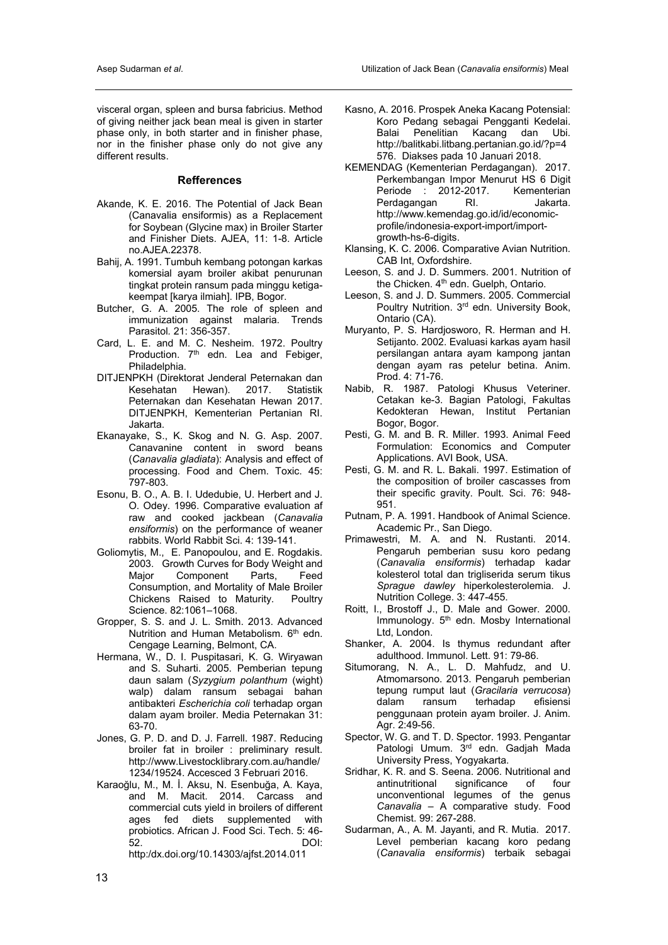visceral organ, spleen and bursa fabricius. Method of giving neither jack bean meal is given in starter phase only, in both starter and in finisher phase, nor in the finisher phase only do not give any different results.

# **Refferences**

- Akande, K. E. 2016. The Potential of Jack Bean (Canavalia ensiformis) as a Replacement for Soybean (Glycine max) in Broiler Starter and Finisher Diets. AJEA, 11: 1-8. Article no.AJEA.22378.
- Bahij, A. 1991. Tumbuh kembang potongan karkas komersial ayam broiler akibat penurunan tingkat protein ransum pada minggu ketigakeempat [karya ilmiah]. IPB, Bogor.
- Butcher, G. A. 2005. The role of spleen and immunization against malaria. Trends Parasitol*.* 21: 356-357.
- Card, L. E. and M. C. Nesheim. 1972. Poultry Production. 7<sup>th</sup> edn. Lea and Febiger, Philadelphia.
- DITJENPKH (Direktorat Jenderal Peternakan dan Kesehatan Hewan). 2017. Statistik Peternakan dan Kesehatan Hewan 2017. DITJENPKH, Kementerian Pertanian RI. Jakarta.
- Ekanayake, S., K. Skog and N. G. Asp. 2007. Canavanine content in sword beans (*Canavalia gladiata*): Analysis and effect of processing. Food and Chem. Toxic. 45: 797-803.
- Esonu, B. O., A. B. I. Udedubie, U. Herbert and J. O. Odey. 1996. Comparative evaluation af raw and cooked jackbean (*Canavalia ensiformis*) on the performance of weaner rabbits. World Rabbit Sci. 4: 139-141.
- Goliomytis, M., E. Panopoulou, and E. Rogdakis. 2003. Growth Curves for Body Weight and Major Component Parts, Feed Consumption, and Mortality of Male Broiler Chickens Raised to Maturity. Poultry Science. 82:1061–1068.
- Gropper, S. S. and J. L. Smith. 2013. Advanced Nutrition and Human Metabolism. 6<sup>th</sup> edn. Cengage Learning, Belmont, CA.
- Hermana, W., D. I. Puspitasari, K. G. Wiryawan and S. Suharti. 2005. Pemberian tepung daun salam (*Syzygium polanthum* (wight) walp) dalam ransum sebagai bahan antibakteri *Escherichia coli* terhadap organ dalam ayam broiler. Media Peternakan 31: 63-70.
- Jones, G. P. D. and D. J. Farrell. 1987. Reducing broiler fat in broiler : preliminary result. http://www.Livestocklibrary.com.au/handle/ 1234/19524. Accesced 3 Februari 2016.
- Karaoğlu, M., M. İ. Aksu, N. Esenbuğa, A. Kaya, and M. Macit. 2014. Carcass and commercial cuts yield in broilers of different ages fed diets supplemented with probiotics. African J. Food Sci. Tech. 5: 46- 52. DOI: http:/dx.doi.org/10.14303/ajfst.2014.011

Kasno, A. 2016. Prospek Aneka Kacang Potensial: Koro Pedang sebagai Pengganti Kedelai. Balai Penelitian Kacang dan Ubi. http://balitkabi.litbang.pertanian.go.id/?p=4 576. Diakses pada 10 Januari 2018.

- KEMENDAG (Kementerian Perdagangan). 2017. Perkembangan Impor Menurut HS 6 Digit<br>Periode : 2012-2017. Kementerian Periode : 2012-2017. Kementerian<br>Perdagangan RI. Jakarta. Perdagangan RI. http://www.kemendag.go.id/id/economicprofile/indonesia-export-import/importgrowth-hs-6-digits.
- Klansing, K. C. 2006. Comparative Avian Nutrition. CAB Int, Oxfordshire.
- Leeson, S. and J. D. Summers. 2001. Nutrition of the Chicken. 4<sup>th</sup> edn. Guelph, Ontario.
- Leeson, S. and J. D. Summers. 2005. Commercial Poultry Nutrition. 3<sup>rd</sup> edn. University Book, Ontario (CA).
- Muryanto, P. S. Hardjosworo, R. Herman and H. Setijanto. 2002. Evaluasi karkas ayam hasil persilangan antara ayam kampong jantan dengan ayam ras petelur betina. Anim. Prod. 4: 71-76.
- Nabib, R. 1987. Patologi Khusus Veteriner. Cetakan ke-3. Bagian Patologi, Fakultas Kedokteran Hewan, Institut Pertanian Bogor, Bogor.
- Pesti, G. M. and B. R. Miller. 1993. Animal Feed Formulation: Economics and Computer Applications. AVI Book, USA.
- Pesti, G. M. and R. L. Bakali. 1997. Estimation of the composition of broiler cascasses from their specific gravity. Poult. Sci. 76: 948- 951.
- Putnam, P. A. 1991. Handbook of Animal Science. Academic Pr., San Diego.
- Primawestri, M. A. and N. Rustanti. 2014. Pengaruh pemberian susu koro pedang (*Canavalia ensiformis*) terhadap kadar kolesterol total dan trigliserida serum tikus *Sprague dawley* hiperkolesterolemia. J. Nutrition College. 3: 447-455.
- Roitt, I., Brostoff J., D. Male and Gower. 2000. Immunology. 5<sup>th</sup> edn. Mosby International Ltd, London.
- Shanker, A. 2004. Is thymus redundant after adulthood. Immunol. Lett. 91: 79-86.
- Situmorang, N. A., L. D. Mahfudz, and U. Atmomarsono. 2013. Pengaruh pemberian tepung rumput laut (*Gracilaria verrucosa*) dalam ransum terhadap efisiensi penggunaan protein ayam broiler. J. Anim. Agr. 2:49-56.
- Spector, W. G. and T. D. Spector. 1993. Pengantar Patologi Umum. 3rd edn. Gadjah Mada University Press, Yogyakarta.
- Sridhar, K. R. and S. Seena. 2006. Nutritional and antinutritional significance of four unconventional legumes of the genus *Canavalia* – A comparative study. Food Chemist. 99: 267-288.
- Sudarman, A., A. M. Jayanti, and R. Mutia. 2017. Level pemberian kacang koro pedang (*Canavalia ensiformis*) terbaik sebagai